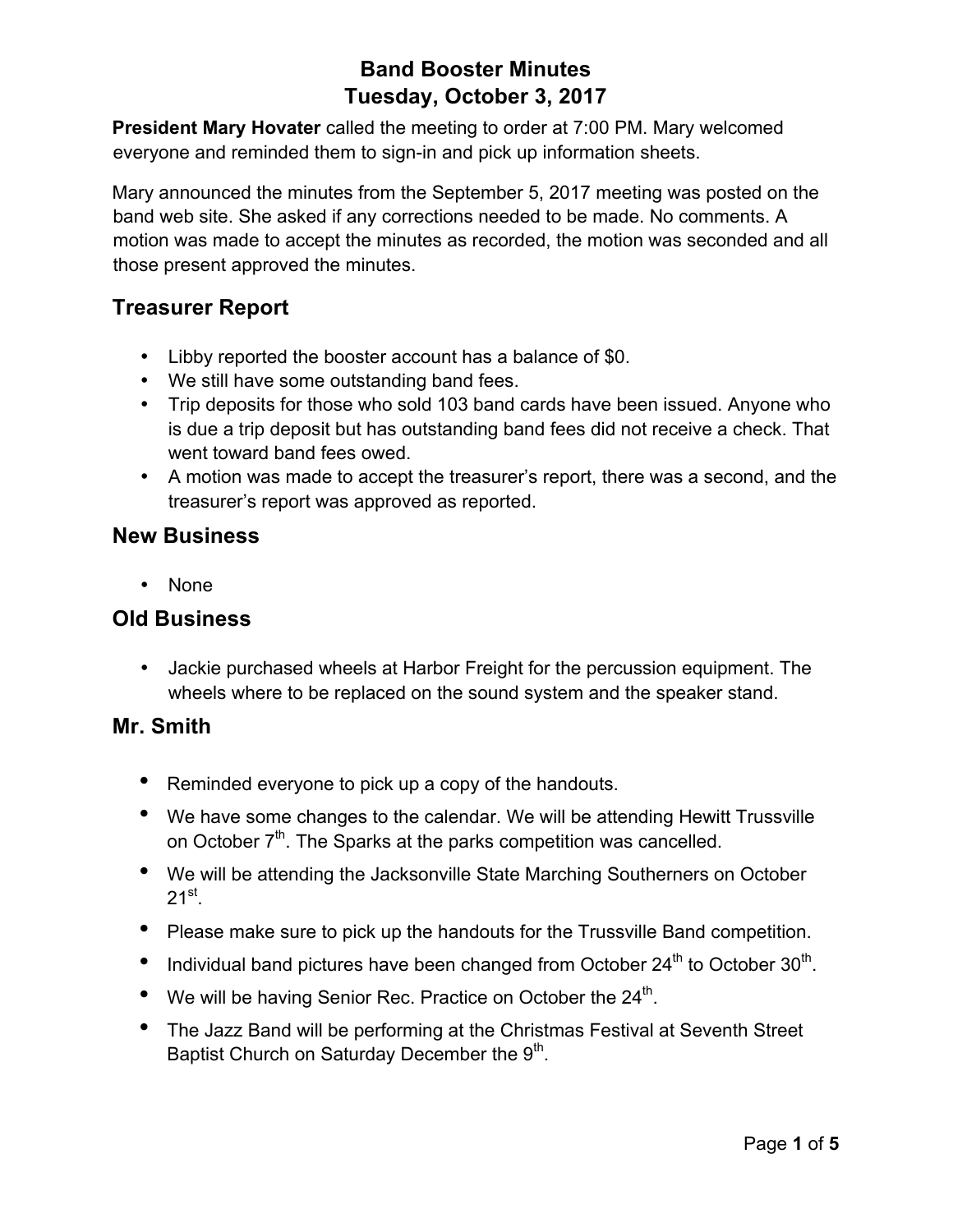**President Mary Hovater** called the meeting to order at 7:00 PM. Mary welcomed everyone and reminded them to sign-in and pick up information sheets.

Mary announced the minutes from the September 5, 2017 meeting was posted on the band web site. She asked if any corrections needed to be made. No comments. A motion was made to accept the minutes as recorded, the motion was seconded and all those present approved the minutes.

## **Treasurer Report**

- Libby reported the booster account has a balance of \$0.
- We still have some outstanding band fees.
- Trip deposits for those who sold 103 band cards have been issued. Anyone who is due a trip deposit but has outstanding band fees did not receive a check. That went toward band fees owed.
- A motion was made to accept the treasurer's report, there was a second, and the treasurer's report was approved as reported.

#### **New Business**

• None

#### **Old Business**

• Jackie purchased wheels at Harbor Freight for the percussion equipment. The wheels where to be replaced on the sound system and the speaker stand.

#### **Mr. Smith**

- Reminded everyone to pick up a copy of the handouts.
- We have some changes to the calendar. We will be attending Hewitt Trussville on October  $7<sup>th</sup>$ . The Sparks at the parks competition was cancelled.
- We will be attending the Jacksonville State Marching Southerners on October  $21^{st}$ .
- Please make sure to pick up the handouts for the Trussville Band competition.
- Individual band pictures have been changed from October  $24<sup>th</sup>$  to October  $30<sup>th</sup>$ .
- We will be having Senior Rec. Practice on October the  $24<sup>th</sup>$ .
- The Jazz Band will be performing at the Christmas Festival at Seventh Street Baptist Church on Saturday December the  $9<sup>th</sup>$ .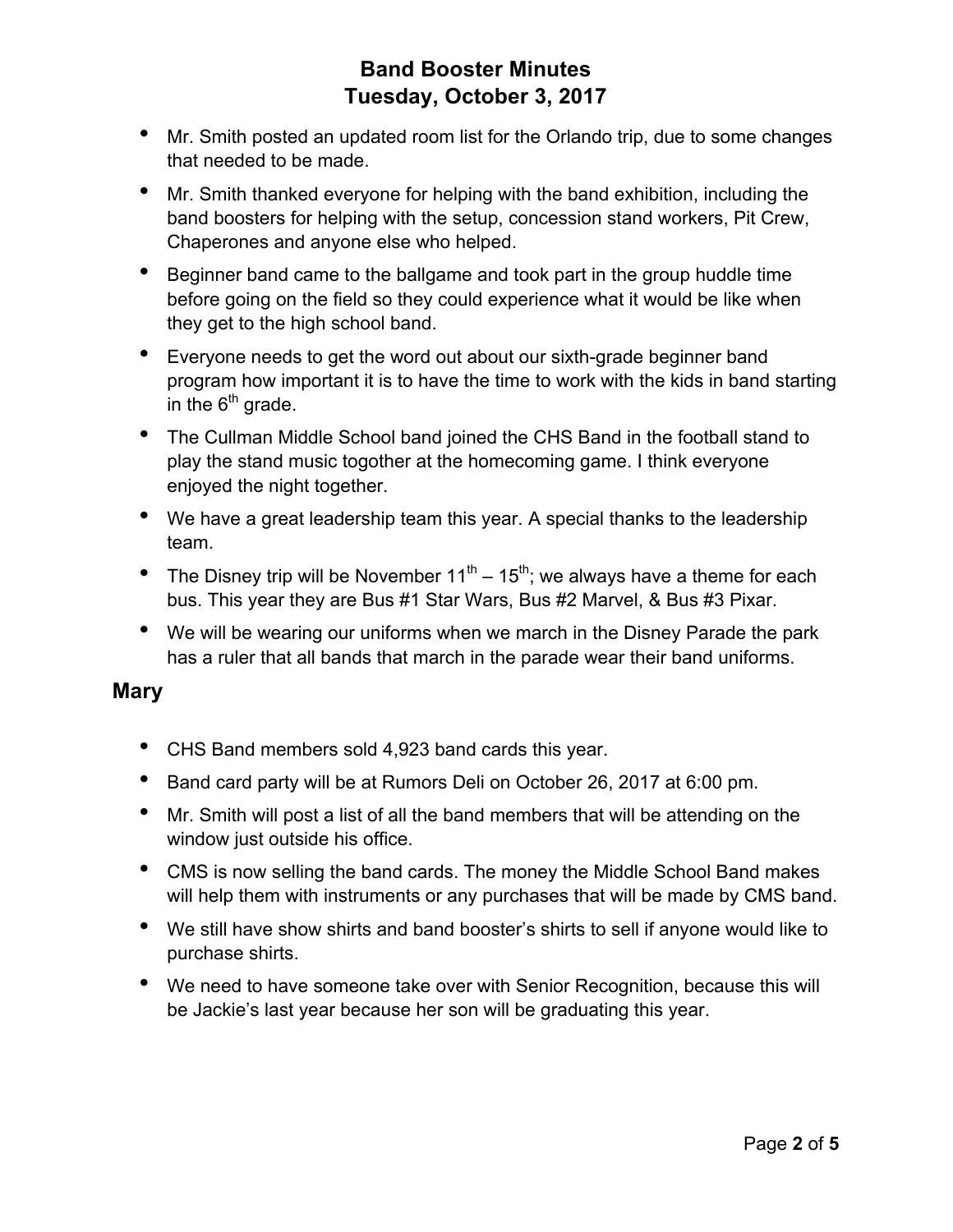- Mr. Smith posted an updated room list for the Orlando trip, due to some changes that needed to be made.
- Mr. Smith thanked everyone for helping with the band exhibition, including the band boosters for helping with the setup, concession stand workers, Pit Crew, Chaperones and anyone else who helped.
- Beginner band came to the ballgame and took part in the group huddle time before going on the field so they could experience what it would be like when they get to the high school band.
- Everyone needs to get the word out about our sixth-grade beginner band program how important it is to have the time to work with the kids in band starting in the  $6<sup>th</sup>$  grade.
- The Cullman Middle School band joined the CHS Band in the football stand to play the stand music togother at the homecoming game. I think everyone enjoyed the night together.
- We have a great leadership team this year. A special thanks to the leadership team.
- The Disney trip will be November  $11^{th} 15^{th}$ ; we always have a theme for each bus. This year they are Bus #1 Star Wars, Bus #2 Marvel, & Bus #3 Pixar.
- We will be wearing our uniforms when we march in the Disney Parade the park has a ruler that all bands that march in the parade wear their band uniforms.

#### **Mary**

- CHS Band members sold 4,923 band cards this year.
- Band card party will be at Rumors Deli on October 26, 2017 at 6:00 pm.
- Mr. Smith will post a list of all the band members that will be attending on the window just outside his office.
- CMS is now selling the band cards. The money the Middle School Band makes will help them with instruments or any purchases that will be made by CMS band.
- We still have show shirts and band booster's shirts to sell if anyone would like to purchase shirts.
- We need to have someone take over with Senior Recognition, because this will be Jackie's last year because her son will be graduating this year.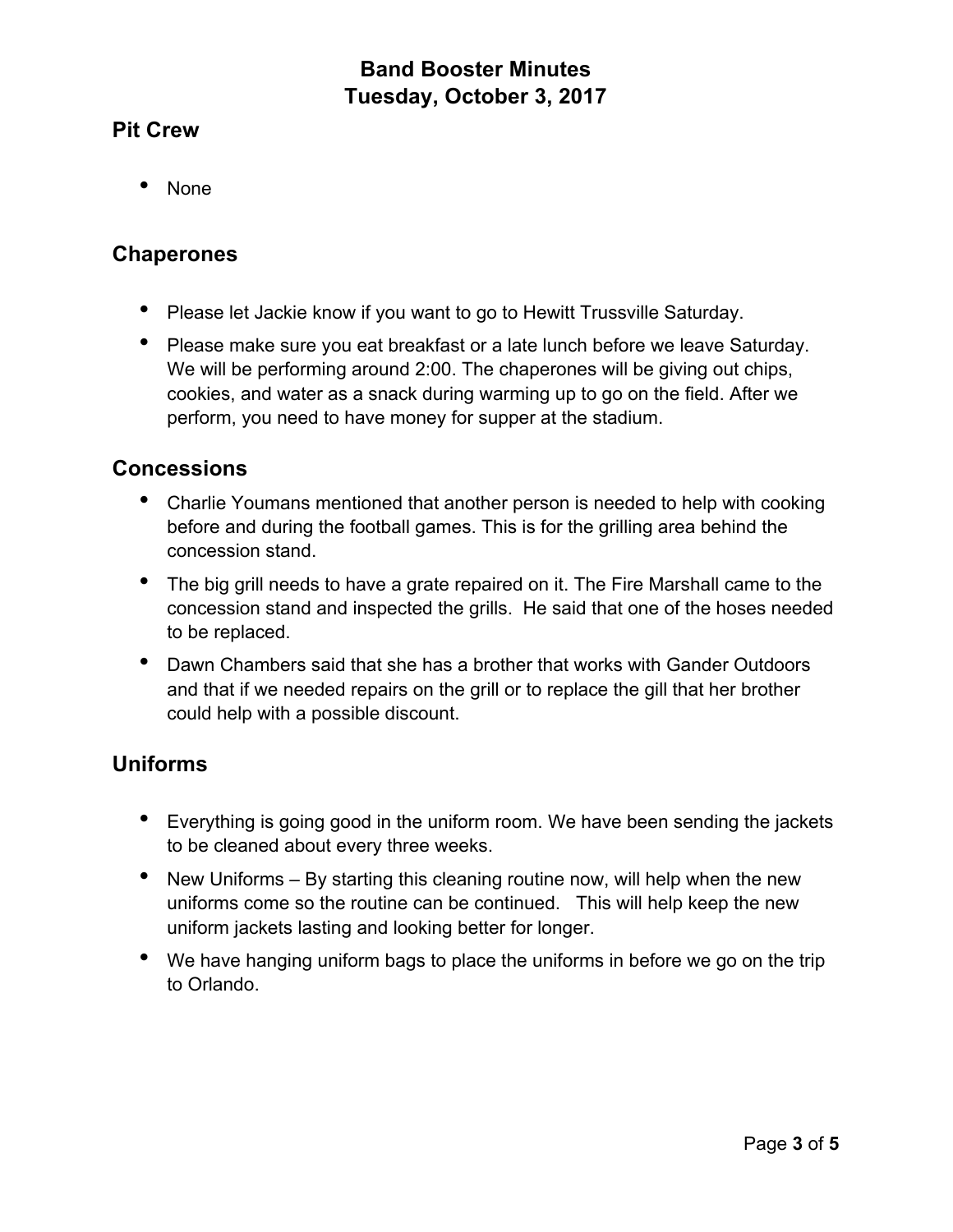## **Pit Crew**

• None

#### **Chaperones**

- Please let Jackie know if you want to go to Hewitt Trussville Saturday.
- Please make sure you eat breakfast or a late lunch before we leave Saturday. We will be performing around 2:00. The chaperones will be giving out chips, cookies, and water as a snack during warming up to go on the field. After we perform, you need to have money for supper at the stadium.

### **Concessions**

- Charlie Youmans mentioned that another person is needed to help with cooking before and during the football games. This is for the grilling area behind the concession stand.
- The big grill needs to have a grate repaired on it. The Fire Marshall came to the concession stand and inspected the grills. He said that one of the hoses needed to be replaced.
- Dawn Chambers said that she has a brother that works with Gander Outdoors and that if we needed repairs on the grill or to replace the gill that her brother could help with a possible discount.

## **Uniforms**

- Everything is going good in the uniform room. We have been sending the jackets to be cleaned about every three weeks.
- New Uniforms By starting this cleaning routine now, will help when the new uniforms come so the routine can be continued. This will help keep the new uniform jackets lasting and looking better for longer.
- We have hanging uniform bags to place the uniforms in before we go on the trip to Orlando.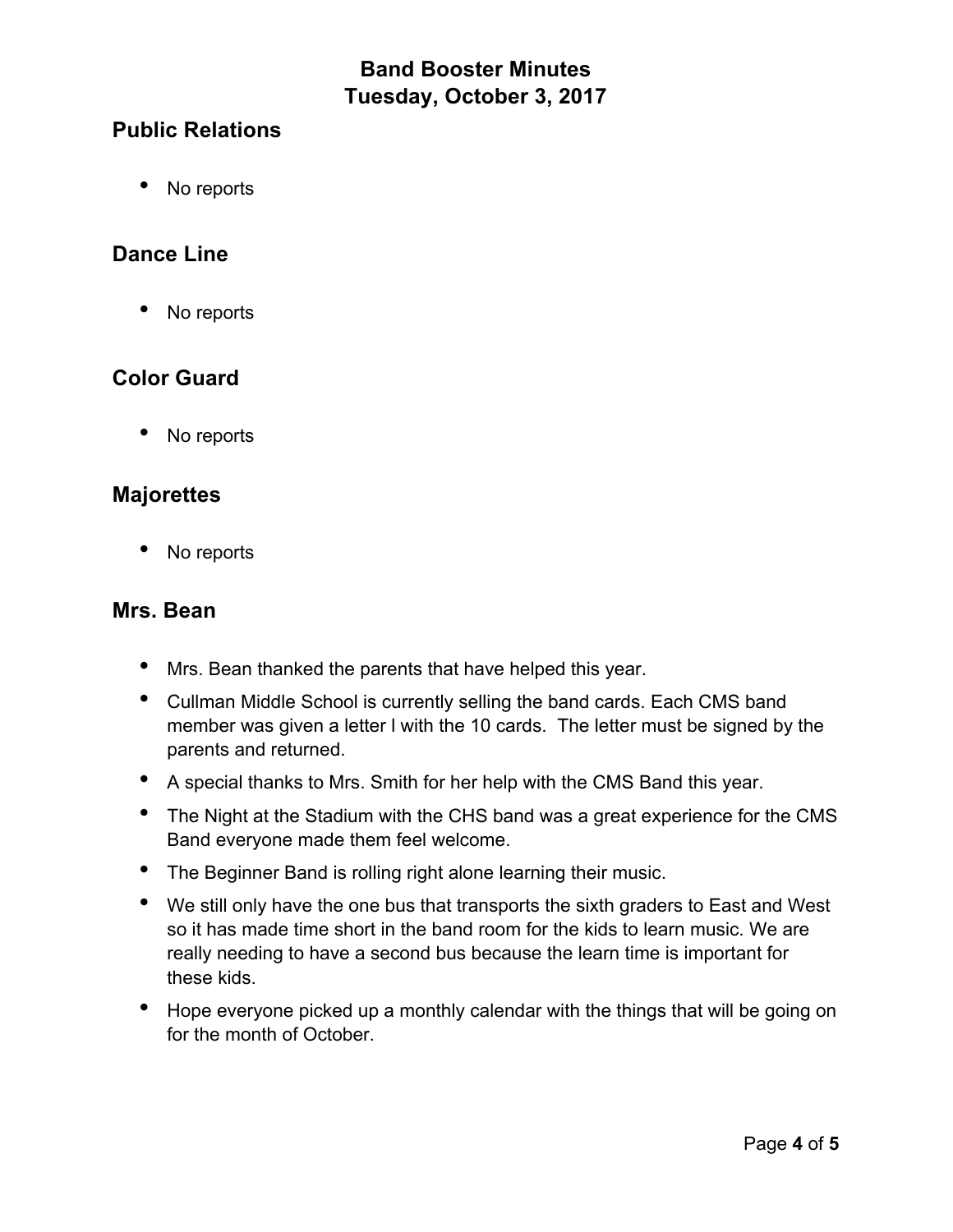## **Public Relations**

• No reports

## **Dance Line**

• No reports

## **Color Guard**

No reports

#### **Majorettes**

No reports

#### **Mrs. Bean**

- Mrs. Bean thanked the parents that have helped this year.
- Cullman Middle School is currently selling the band cards. Each CMS band member was given a letter l with the 10 cards. The letter must be signed by the parents and returned.
- A special thanks to Mrs. Smith for her help with the CMS Band this year.
- The Night at the Stadium with the CHS band was a great experience for the CMS Band everyone made them feel welcome.
- The Beginner Band is rolling right alone learning their music.
- We still only have the one bus that transports the sixth graders to East and West so it has made time short in the band room for the kids to learn music. We are really needing to have a second bus because the learn time is important for these kids.
- Hope everyone picked up a monthly calendar with the things that will be going on for the month of October.